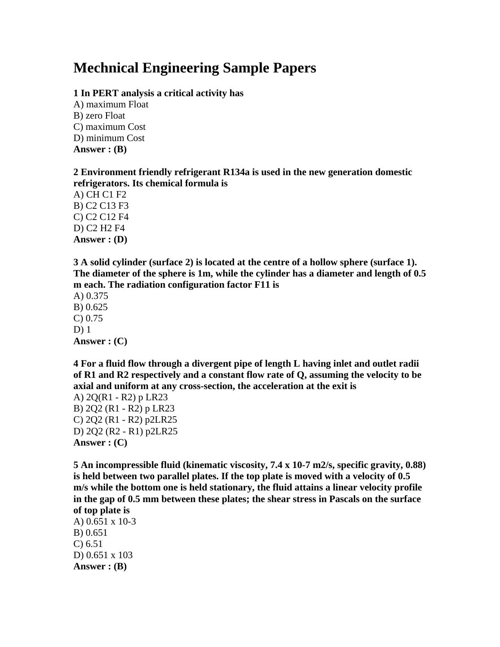# **Mechnical Engineering Sample Papers**

## **1 In PERT analysis a critical activity has**

A) maximum Float B) zero Float C) maximum Cost D) minimum Cost **Answer : (B)**

# **2 Environment friendly refrigerant R134a is used in the new generation domestic refrigerators. Its chemical formula is**

A) CH C1 F2 B) C2 C13 F3 C) C2 C12 F4 D) C2 H2 F4 **Answer : (D)**

**3 A solid cylinder (surface 2) is located at the centre of a hollow sphere (surface 1). The diameter of the sphere is 1m, while the cylinder has a diameter and length of 0.5 m each. The radiation configuration factor F11 is**

A) 0.375 B) 0.625 C) 0.75 D) 1 **Answer : (C)**

**4 For a fluid flow through a divergent pipe of length L having inlet and outlet radii of R1 and R2 respectively and a constant flow rate of Q, assuming the velocity to be axial and uniform at any cross-section, the acceleration at the exit is**

A) 2Q(R1 - R2) p LR23 B) 2Q2 (R1 - R2) p LR23 C) 2Q2 (R1 - R2) p2LR25 D) 2Q2 (R2 - R1) p2LR25 **Answer : (C)** 

**5 An incompressible fluid (kinematic viscosity, 7.4 x 10-7 m2/s, specific gravity, 0.88) is held between two parallel plates. If the top plate is moved with a velocity of 0.5 m/s while the bottom one is held stationary, the fluid attains a linear velocity profile in the gap of 0.5 mm between these plates; the shear stress in Pascals on the surface of top plate is**

A) 0.651 x 10-3 B) 0.651 C) 6.51 D) 0.651 x 103 **Answer : (B)**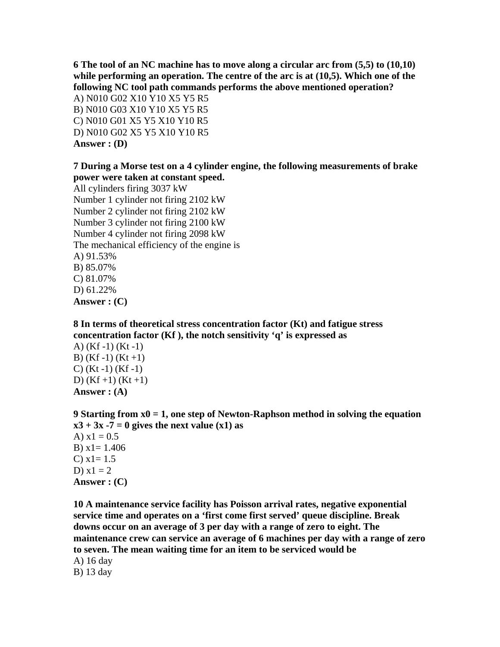**6 The tool of an NC machine has to move along a circular arc from (5,5) to (10,10) while performing an operation. The centre of the arc is at (10,5). Which one of the following NC tool path commands performs the above mentioned operation?**

A) N010 G02 X10 Y10 X5 Y5 R5 B) N010 G03 X10 Y10 X5 Y5 R5 C) N010 G01 X5 Y5 X10 Y10 R5 D) N010 G02 X5 Y5 X10 Y10 R5 **Answer : (D)**

# **7 During a Morse test on a 4 cylinder engine, the following measurements of brake power were taken at constant speed.**

All cylinders firing 3037 kW Number 1 cylinder not firing 2102 kW Number 2 cylinder not firing 2102 kW Number 3 cylinder not firing 2100 kW Number 4 cylinder not firing 2098 kW The mechanical efficiency of the engine is A) 91.53% B) 85.07% C) 81.07% D) 61.22% **Answer : (C)**

**8 In terms of theoretical stress concentration factor (Kt) and fatigue stress concentration factor (Kf ), the notch sensitivity 'q' is expressed as**

A) (Kf -1) (Kt -1) B)  $(Kf-1)$   $(Kt+1)$ C) (Kt -1) (Kf -1) D)  $(Kf+1)$   $(Kt+1)$ **Answer : (A)**

**9 Starting from x0 = 1, one step of Newton-Raphson method in solving the equation**   $x3 + 3x -7 = 0$  gives the next value  $(x1)$  as A)  $x1 = 0.5$ B)  $x1 = 1.406$ C)  $x1 = 1.5$ D)  $x1 = 2$ **Answer : (C)**

**10 A maintenance service facility has Poisson arrival rates, negative exponential service time and operates on a 'first come first served' queue discipline. Break downs occur on an average of 3 per day with a range of zero to eight. The maintenance crew can service an average of 6 machines per day with a range of zero to seven. The mean waiting time for an item to be serviced would be**

A) 16 day B) 13 day